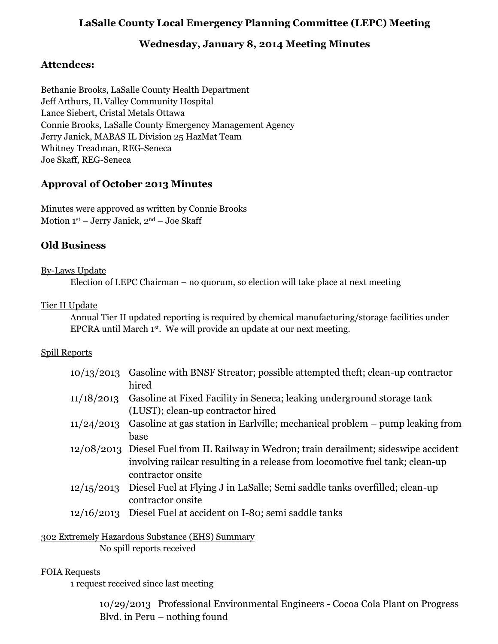# **LaSalle County Local Emergency Planning Committee (LEPC) Meeting**

# **Wednesday, January 8, 2014 Meeting Minutes**

# **Attendees:**

Bethanie Brooks, LaSalle County Health Department Jeff Arthurs, IL Valley Community Hospital Lance Siebert, Cristal Metals Ottawa Connie Brooks, LaSalle County Emergency Management Agency Jerry Janick, MABAS IL Division 25 HazMat Team Whitney Treadman, REG-Seneca Joe Skaff, REG-Seneca

# **Approval of October 2013 Minutes**

Minutes were approved as written by Connie Brooks Motion 1st – Jerry Janick, 2nd – Joe Skaff

# **Old Business**

#### By-Laws Update

Election of LEPC Chairman – no quorum, so election will take place at next meeting

#### Tier II Update

Annual Tier II updated reporting is required by chemical manufacturing/storage facilities under EPCRA until March  $1<sup>st</sup>$ . We will provide an update at our next meeting.

### Spill Reports

| 10/13/2013 | Gasoline with BNSF Streator; possible attempted theft; clean-up contractor<br>hired                                                                                                         |
|------------|---------------------------------------------------------------------------------------------------------------------------------------------------------------------------------------------|
| 11/18/2013 | Gasoline at Fixed Facility in Seneca; leaking underground storage tank<br>(LUST); clean-up contractor hired                                                                                 |
| 11/24/2013 | Gasoline at gas station in Earlyille; mechanical problem – pump leaking from<br>base                                                                                                        |
|            | 12/08/2013 Diesel Fuel from IL Railway in Wedron; train derailment; sideswipe accident<br>involving railcar resulting in a release from locomotive fuel tank; clean-up<br>contractor onsite |
| 12/15/2013 | Diesel Fuel at Flying J in LaSalle; Semi saddle tanks overfilled; clean-up<br>contractor onsite                                                                                             |
| 12/16/2013 | Diesel Fuel at accident on I-80; semi saddle tanks                                                                                                                                          |

### 302 Extremely Hazardous Substance (EHS) Summary

No spill reports received

### FOIA Requests

1 request received since last meeting

10/29/2013 Professional Environmental Engineers - Cocoa Cola Plant on Progress Blvd. in Peru – nothing found